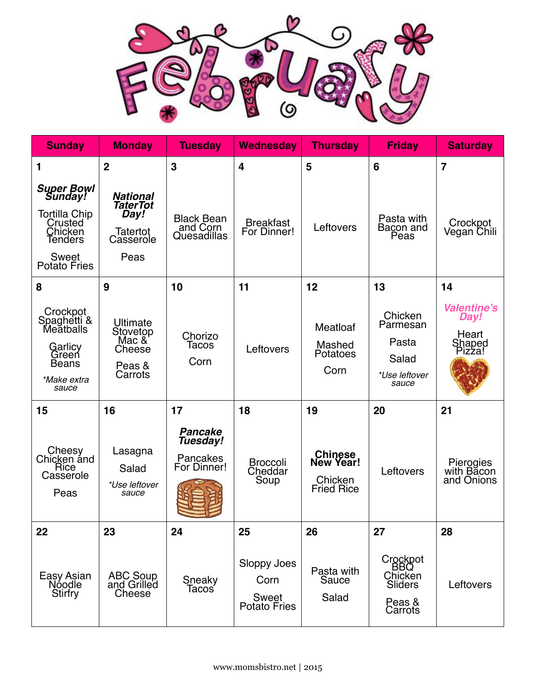

| <b>Sunday</b>                                                                                                         | <b>Monday</b>                                                               | <b>Tuesdav</b>                                        | <b>Wednesday</b>                                    | <b>Thursday</b>                                             | <b>Friday</b>                                                     | <b>Saturday</b>                                         |
|-----------------------------------------------------------------------------------------------------------------------|-----------------------------------------------------------------------------|-------------------------------------------------------|-----------------------------------------------------|-------------------------------------------------------------|-------------------------------------------------------------------|---------------------------------------------------------|
| 1                                                                                                                     | $\overline{2}$                                                              | 3                                                     | $\overline{\mathbf{4}}$                             | 5                                                           | 6                                                                 | $\overline{7}$                                          |
| <b>Super Bowl</b><br>Sunday!<br>Tortilla Chip<br>Crusted<br>Chicken<br>Tenders<br><b>Sweet</b><br><b>Potato Fries</b> | <b>National</b><br><b>TaterTot</b><br>Day!<br>Tatertot<br>Casserole<br>Peas | <b>Black Bean</b><br>and Corn<br>Quesadillas          | <b>Breakfast</b><br>For Dinner!                     | Leftovers                                                   | Pasta with<br>Bacon and<br>Peas                                   | Crockpot<br>Vegan Chili                                 |
| 8                                                                                                                     | 9                                                                           | 10                                                    | 11                                                  | 12                                                          | 13                                                                | 14                                                      |
| Crockpot<br>Spaghetti &<br>Meatballs<br>Garlicy<br>Green<br><b>Beans</b><br>*Make extra<br>sauce                      | Ultimate<br>Stovetop<br>Mac &<br>Cheese<br>Peas &<br>Carrots                | Chorizo<br>Tacos<br>Corn                              | Leftovers                                           | Meatloaf<br>Mashed<br>Potatoes<br>Corn                      | Chicken<br>Parmesan<br>Pasta<br>Salad<br>*Use leftover<br>sauce   | <b>Valentine's</b><br>Day!<br>Heart<br>Shaped<br>Pizza! |
| 15                                                                                                                    | 16                                                                          | 17                                                    | 18                                                  | 19                                                          | 20                                                                | 21                                                      |
| Cheesy<br>Chicken and<br>Rice<br>Casserole<br>Peas                                                                    | Lasagna<br>Salad<br>*Use leftover<br>sauce                                  | <b>Pancake</b><br>Tuesday!<br>Pancakes<br>For Dinner! | <b>Broccoli</b><br>Cheddar<br>Soup                  | <b>Chinese</b><br>New Year!<br>Chicken<br><b>Fried Rice</b> | Leftovers                                                         | Pierogies<br>with Bacon<br>and Onions                   |
| 22                                                                                                                    | 23                                                                          | 24                                                    | 25                                                  | 26                                                          | 27                                                                | 28                                                      |
| Easy Asian<br>Nóodle<br><b>Stirfry</b>                                                                                | ABC Soup<br>and Grilled<br>Cheese                                           | Sneaky<br>Tacoś                                       | Sloppy Joes<br>Corn<br>Sweet<br><b>Potato Fries</b> | Pasta with<br>Sauce<br>Salad                                | Crockpot<br><b>BBQ</b><br>Chicken<br>Sliders<br>Peas &<br>Carrots | Leftovers                                               |